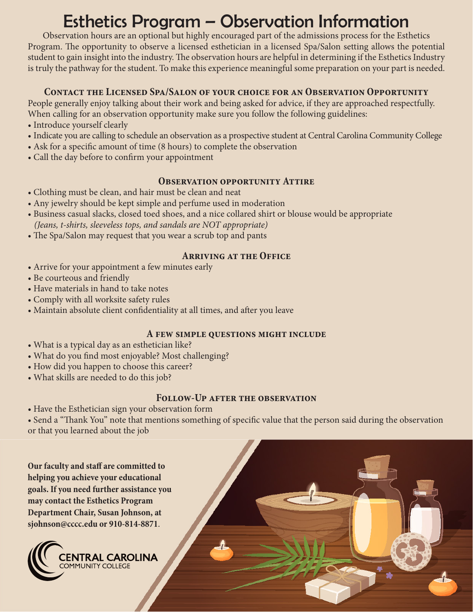# Esthetics Program – Observation Information

Observation hours are an optional but highly encouraged part of the admissions process for the Esthetics Program. The opportunity to observe a licensed esthetician in a licensed Spa/Salon setting allows the potential student to gain insight into the industry. The observation hours are helpful in determining if the Esthetics Industry is truly the pathway for the student. To make this experience meaningful some preparation on your part is needed.

#### **Contact the Licensed Spa/Salon of your choice for an Observation Opportunity**

People generally enjoy talking about their work and being asked for advice, if they are approached respectfully. When calling for an observation opportunity make sure you follow the following guidelines:

- Introduce yourself clearly
- Indicate you are calling to schedule an observation as a prospective student at Central Carolina Community College
- Ask for a specific amount of time (8 hours) to complete the observation
- Call the day before to confirm your appointment

#### **OBSERVATION OPPORTUNITY ATTIRE**

- Clothing must be clean, and hair must be clean and neat
- Any jewelry should be kept simple and perfume used in moderation
- Business casual slacks, closed toed shoes, and a nice collared shirt or blouse would be appropriate
- *(Jeans, t-shirts, sleeveless tops, and sandals are NOT appropriate)*
- The Spa/Salon may request that you wear a scrub top and pants

### **Arriving at the Office**

- Arrive for your appointment a few minutes early
- Be courteous and friendly
- Have materials in hand to take notes
- Comply with all worksite safety rules
- Maintain absolute client confidentiality at all times, and after you leave

### **A few simple questions might include**

- What is a typical day as an esthetician like?
- What do you find most enjoyable? Most challenging?
- How did you happen to choose this career?
- What skills are needed to do this job?

### **Follow-Up after the observation**

• Have the Esthetician sign your observation form

• Send a "Thank You" note that mentions something of specific value that the person said during the observation or that you learned about the job